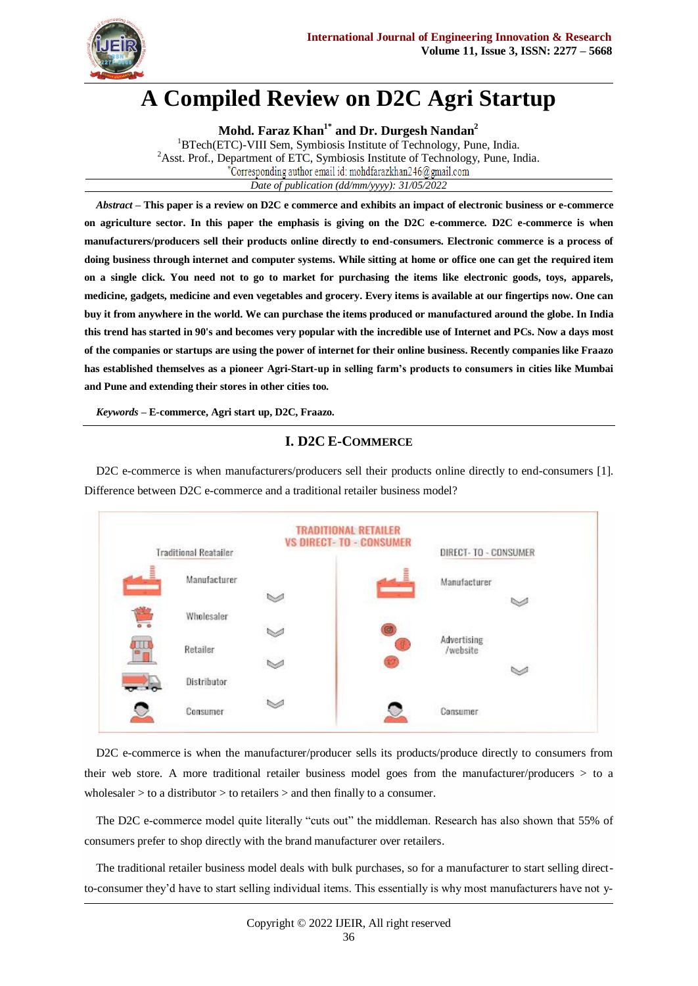

# **A Compiled Review on D2C Agri Startup**

**Mohd. Faraz Khan1\* and Dr. Durgesh Nandan<sup>2</sup>** <sup>1</sup>BTech(ETC)-VIII Sem, Symbiosis Institute of Technology, Pune, India. <sup>2</sup>Asst. Prof., Department of ETC, Symbiosis Institute of Technology, Pune, India. Corresponding author email id: mohdfarazkhan246@gmail.com *Date of publication (dd/mm/yyyy): 31/05/2022*

*Abstract* **– This paper is a review on D2C e commerce and exhibits an impact of electronic business or e-commerce on agriculture sector. In this paper the emphasis is giving on the D2C e-commerce. D2C e-commerce is when manufacturers/producers sell their products online directly to end-consumers. Electronic commerce is a process of doing business through internet and computer systems. While sitting at home or office one can get the required item on a single click. You need not to go to market for purchasing the items like electronic goods, toys, apparels, medicine, gadgets, medicine and even vegetables and grocery. Every items is available at our fingertips now. One can buy it from anywhere in the world. We can purchase the items produced or manufactured around the globe. In India this trend has started in 90's and becomes very popular with the incredible use of Internet and PCs. Now a days most of the companies or startups are using the power of internet for their online business. Recently companies like Fraazo has established themselves as a pioneer Agri-Start-up in selling farm's products to consumers in cities like Mumbai and Pune and extending their stores in other cities too.**

*Keywords* **– E-commerce, Agri start up, D2C, Fraazo.**

# **I. D2C E-COMMERCE**

D2C e-commerce is when manufacturers/producers sell their products online directly to end-consumers [1]. Difference between D2C e-commerce and a traditional retailer business model?

| <b>Traditional Reatailer</b>          |              | <b>VS DIRECT-TO - CONSUMER</b> |                | DIRECT- TO - CONSUMER |  |
|---------------------------------------|--------------|--------------------------------|----------------|-----------------------|--|
| l                                     | Manufacturer |                                |                | Manufacturer          |  |
|                                       |              | $\sim$                         |                | $\scriptstyle\sim$    |  |
| $\overline{\circ}$ $\overline{\circ}$ | Wholesaler   |                                |                |                       |  |
| H                                     |              | $\leqslant$                    | Advertising    |                       |  |
|                                       | Retailer     | $\sim$                         |                | /website              |  |
|                                       | Distributor  |                                |                | w                     |  |
|                                       | Consumer     |                                | Consumer<br>U) |                       |  |

[D2C e-commerce](https://www.sana-commerce.com/solutions/d2c-ecommerce/) is when the manufacturer/producer sells its products/produce directly to consumers from their web store. A more traditional retailer business model goes from the manufacturer/producers > to a wholesaler > to a distributor > to retailers > and then finally to a consumer.

The D2C e-commerce model quite literally "cuts out" the middleman. Research has also shown that [55% of](https://www.inc.com/peter-roesler/new-research-shows-a-good-brand-website-is-more-im.html)  [consumers prefer to shop directly with the brand manufacturer over retailers.](https://www.inc.com/peter-roesler/new-research-shows-a-good-brand-website-is-more-im.html)

The traditional retailer business model deals with bulk purchases, so for a manufacturer to start selling directto-consumer they"d have to start selling individual items. This essentially is why most manufacturers have not y-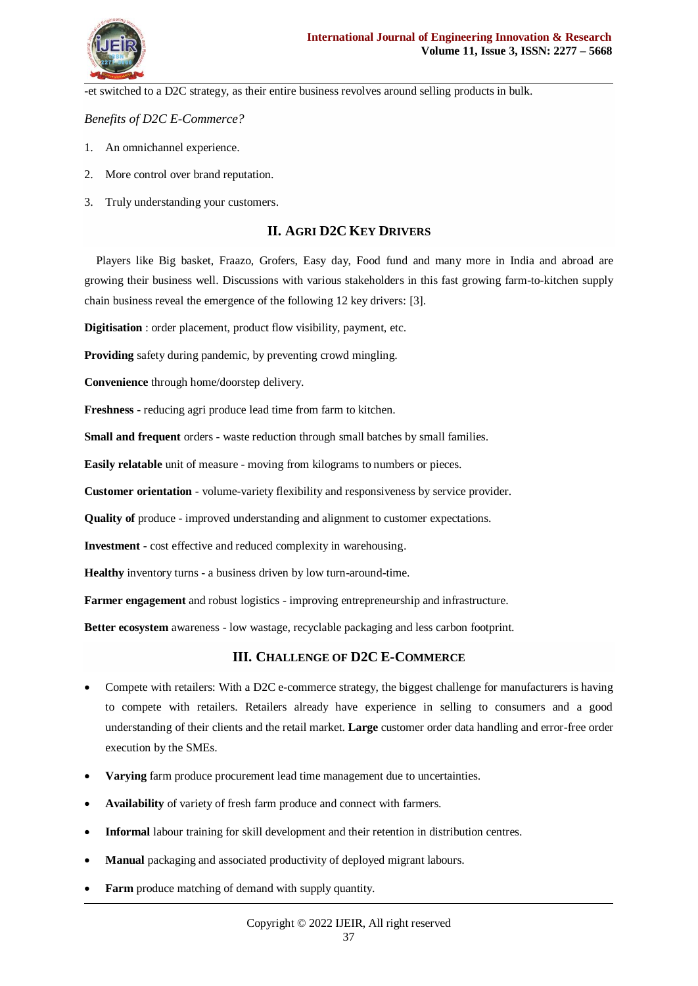

-et switched to a D2C strategy, as their entire business revolves around selling products in bulk.

*Benefits of D2C E-Commerce?*

- 1. An omnichannel experience.
- 2. More control over brand reputation.
- 3. Truly understanding your customers.

### **II. AGRI D2C KEY DRIVERS**

Players like Big basket, Fraazo, Grofers, Easy day, Food fund and many more in India and abroad are growing their business well. Discussions with various stakeholders in this fast growing farm-to-kitchen supply chain business reveal the emergence of the following 12 key drivers: [3].

**Digitisation** : order placement, product flow visibility, payment, etc.

**Providing** safety during pandemic, by preventing crowd mingling.

**Convenience** through home/doorstep delivery.

**Freshness** *-* reducing agri produce lead time from farm to kitchen.

**Small and frequent** orders - waste reduction through small batches by small families.

**Easily relatable** unit of measure - moving from kilograms to numbers or pieces.

**Customer orientation** - volume-variety flexibility and responsiveness by service provider.

**Quality of** produce - improved understanding and alignment to customer expectations.

**Investment** - cost effective and reduced complexity in warehousing.

**Healthy** inventory turns - a business driven by low turn-around-time.

**Farmer engagement** and robust logistics - improving entrepreneurship and infrastructure.

**Better ecosystem** awareness - low wastage, recyclable packaging and less carbon footprint.

#### **III. CHALLENGE OF D2C E-COMMERCE**

- Compete with retailers: With a D2C e-commerce strategy, the biggest challenge for manufacturers is having to compete with retailers. Retailers already have experience in selling to consumers and a good understanding of their clients and the retail market. **Large** customer order data handling and error-free order execution by the SMEs.
- **Varying** farm produce procurement lead time management due to uncertainties.
- **Availability** of variety of fresh farm produce and connect with farmers.
- **Informal** labour training for skill development and their retention in distribution centres.
- **Manual** packaging and associated productivity of deployed migrant labours.
- **Farm** produce matching of demand with supply quantity.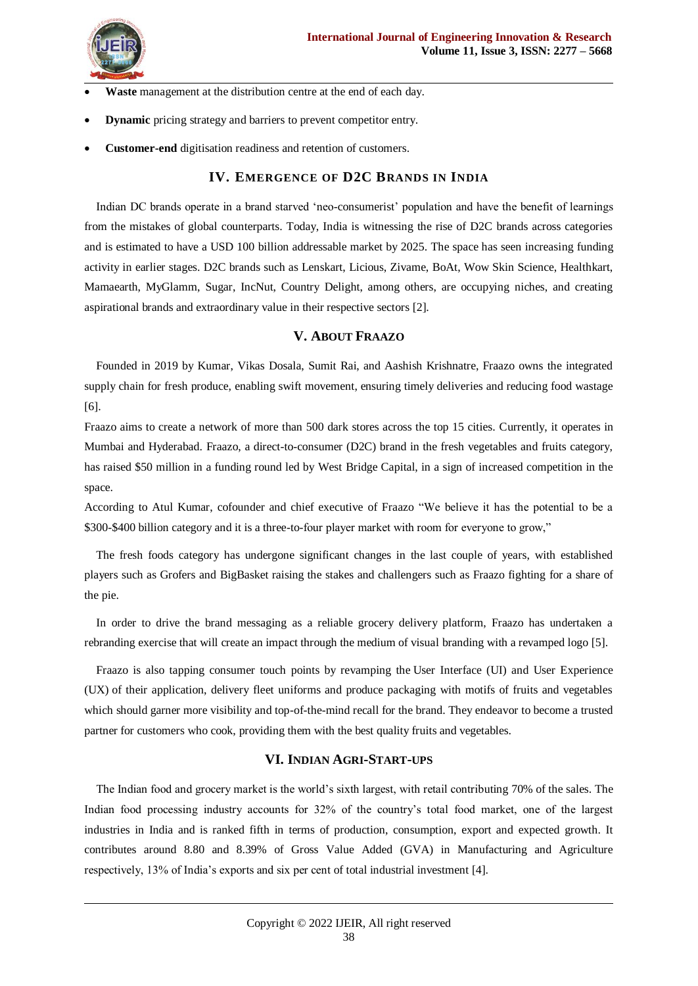

- **Waste** management at the distribution centre at the end of each day.
- **Dynamic** pricing strategy and barriers to prevent competitor entry.
- **Customer-end** digitisation readiness and retention of customers.

### **IV. EMERGENCE OF D2C BRANDS IN INDIA**

Indian DC brands operate in a brand starved "neo-consumerist" population and have the benefit of learnings from the mistakes of global counterparts. Today, India is witnessing the rise of D2C brands across categories and is estimated to have a USD 100 billion addressable market by 2025. The space has seen increasing funding activity in earlier stages. D2C brands such as Lenskart, Licious, Zivame, BoAt, Wow Skin Science, Healthkart, Mamaearth, MyGlamm, Sugar, IncNut, Country Delight, among others, are occupying niches, and creating aspirational brands and extraordinary value in their respective sectors [2].

#### **V. ABOUT FRAAZO**

Founded in 2019 by Kumar, Vikas Dosala, Sumit Rai, and Aashish Krishnatre, Fraazo owns the integrated supply chain for fresh produce, enabling swift movement, ensuring timely deliveries and reducing food wastage [6].

Fraazo aims to create a network of more than 500 dark stores across the top 15 cities. Currently, it operates in Mumbai and Hyderabad. Fraazo, a direct-to-consumer (D2C) brand in the fresh vegetables and fruits category, has raised \$50 million in a funding round led by West Bridge Capital, in a sign of increased competition in the space.

According to Atul Kumar, cofounder and chief executive of Fraazo "We believe it has the potential to be a \$300-\$400 billion category and it is a three-to-four player market with room for everyone to grow,"

The fresh foods category has undergone significant changes in the last couple of years, with established players such as Grofers and BigBasket raising the stakes and challengers such as Fraazo fighting for a share of the pie.

In order to drive the brand messaging as a reliable grocery delivery platform, Fraazo has undertaken a rebranding exercise that will create an impact through the medium of visual branding with a revamped logo [5].

Fraazo is also tapping consumer touch points by revamping the User Interface (UI) and User Experience (UX) of their application, delivery fleet uniforms and produce packaging with motifs of fruits and vegetables which should garner more visibility and top-of-the-mind recall for the brand. They endeavor to become a trusted partner for customers who cook, providing them with the best quality fruits and vegetables.

### **VI. INDIAN AGRI-START-UPS**

The Indian food and grocery market is the world"s sixth largest, with retail contributing 70% of the sales. The Indian food processing industry accounts for 32% of the country"s total food market, one of the largest industries in India and is ranked fifth in terms of production, consumption, export and expected growth. It contributes around 8.80 and 8.39% of Gross Value Added (GVA) in Manufacturing and Agriculture respectively, 13% of India"s exports and six per cent of total industrial investment [4].